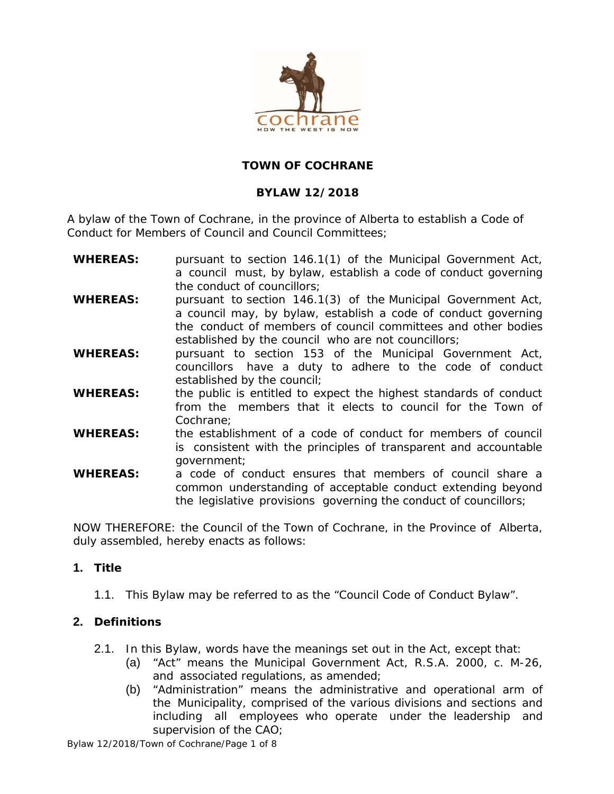

### **TOWN OF COCHRANE**

### **BYLAW 12/2018**

A bylaw of the Town of Cochrane, in the province of Alberta to establish a Code of Conduct for Members of Council and Council Committees;

- **WHEREAS:** pursuant to section 146.1(1) of the *Municipal Government Act,* a council must, by bylaw, establish a code of conduct governing the conduct of councillors;
- **WHEREAS:** pursuant to section 146.1(3) of the *Municipal Government Act,* a council may, by bylaw, establish a code of conduct governing the conduct of members of council committees and other bodies established by the council who are not councillors;
- **WHEREAS:** pursuant to section 153 of the *Municipal Government Act*, councillors have a duty to adhere to the code of conduct established by the council;
- **WHEREAS:** the public is entitled to expect the highest standards of conduct from the members that it elects to council for the Town of Cochrane;
- **WHEREAS:** the establishment of a code of conduct for members of council is consistent with the principles of transparent and accountable government;
- **WHEREAS:** a code of conduct ensures that members of council share a common understanding of acceptable conduct extending beyond the legislative provisions governing the conduct of councillors;

NOW THEREFORE: the Council of the Town of Cochrane, in the Province of Alberta, duly assembled, hereby enacts as follows:

### **1. Title**

1.1. This Bylaw may be referred to as the "Council Code of Conduct Bylaw".

### **2. Definitions**

- 2.1. In this Bylaw, words have the meanings set out in the Act, except that:
	- (a) "Act" means the Municipal Government Act, R.S.A. 2000, c. M-26, and associated regulations, as amended;
	- (b) "Administration" means the administrative and operational arm of the Municipality, comprised of the various divisions and sections and including all employees who operate under the leadership and supervision of the CAO;

Bylaw 12/2018/Town of Cochrane/Page 1 of 8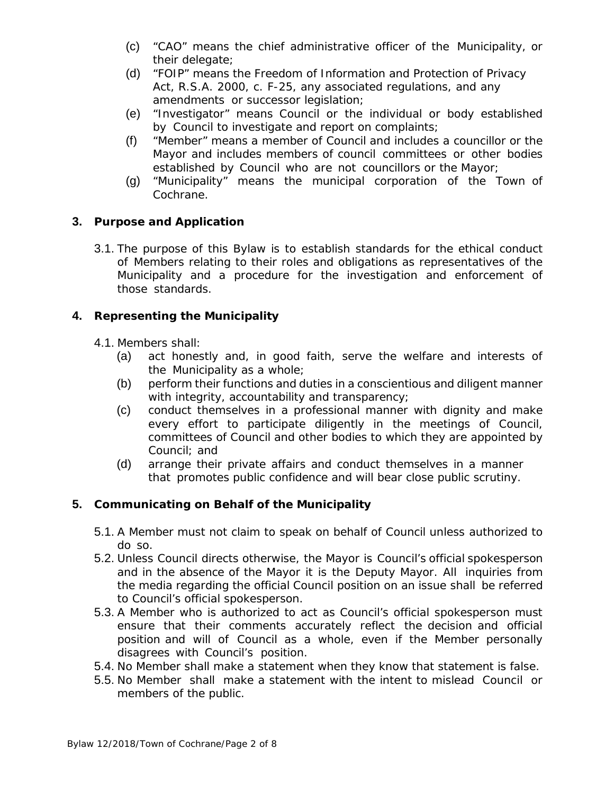- (c) "CAO" means the chief administrative officer of the Municipality, or their delegate;
- (d) "FOIP" means the Freedom of Information and Protection of Privacy Act, R.S.A. 2000, c. F-25, any associated regulations, and any amendments or successor legislation;
- (e) "Investigator" means Council or the individual or body established by Council to investigate and report on complaints;
- (f) "Member" means a member of Council and includes a councillor or the Mayor and includes members of council committees or other bodies established by Council who are not councillors or the Mayor;
- (g) "Municipality" means the municipal corporation of the Town of Cochrane.

## **3. Purpose and Application**

3.1. The purpose of this Bylaw is to establish standards for the ethical conduct of Members relating to their roles and obligations as representatives of the Municipality and a procedure for the investigation and enforcement of those standards.

## **4. Representing the Municipality**

- 4.1. Members shall:
	- (a) act honestly and, in good faith, serve the welfare and interests of the Municipality as a whole;
	- (b) perform their functions and duties in a conscientious and diligent manner with integrity, accountability and transparency;
	- (c) conduct themselves in a professional manner with dignity and make every effort to participate diligently in the meetings of Council, committees of Council and other bodies to which they are appointed by Council; and
	- (d) arrange their private affairs and conduct themselves in a manner that promotes public confidence and will bear close public scrutiny.

# **5. Communicating on Behalf of the Municipality**

- 5.1. A Member must not claim to speak on behalf of Council unless authorized to do so.
- 5.2. Unless Council directs otherwise, the Mayor is Council's official spokesperson and in the absence of the Mayor it is the Deputy Mayor. All inquiries from the media regarding the official Council position on an issue shall be referred to Council's official spokesperson.
- 5.3. A Member who is authorized to act as Council's official spokesperson must ensure that their comments accurately reflect the decision and official position and will of Council as a whole, even if the Member personally disagrees with Council's position.
- 5.4. No Member shall make a statement when they know that statement is false.
- 5.5. No Member shall make a statement with the intent to mislead Council or members of the public.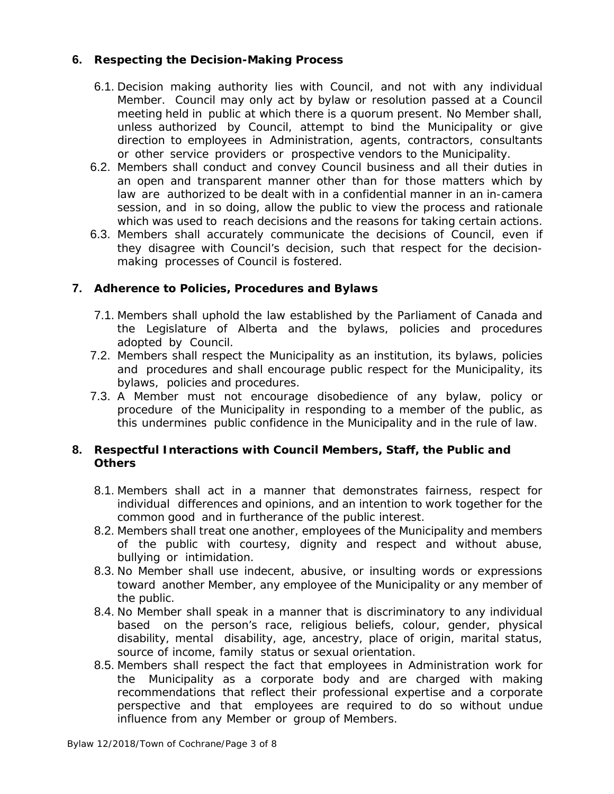### **6. Respecting the Decision-Making Process**

- 6.1. Decision making authority lies with Council, and not with any individual Member. Council may only act by bylaw or resolution passed at a Council meeting held in public at which there is a quorum present. No Member shall, unless authorized by Council, attempt to bind the Municipality or give direction to employees in Administration, agents, contractors, consultants or other service providers or prospective vendors to the Municipality.
- 6.2. Members shall conduct and convey Council business and all their duties in an open and transparent manner other than for those matters which by law are authorized to be dealt with in a confidential manner in an in-camera session, and in so doing, allow the public to view the process and rationale which was used to reach decisions and the reasons for taking certain actions.
- 6.3. Members shall accurately communicate the decisions of Council, even if they disagree with Council's decision, such that respect for the decisionmaking processes of Council is fostered.

### **7. Adherence to Policies, Procedures and Bylaws**

- 7.1. Members shall uphold the law established by the Parliament of Canada and the Legislature of Alberta and the bylaws, policies and procedures adopted by Council.
- 7.2. Members shall respect the Municipality as an institution, its bylaws, policies and procedures and shall encourage public respect for the Municipality, its bylaws, policies and procedures.
- 7.3. A Member must not encourage disobedience of any bylaw, policy or procedure of the Municipality in responding to a member of the public, as this undermines public confidence in the Municipality and in the rule of law.

### **8. Respectful Interactions with Council Members, Staff, the Public and Others**

- 8.1. Members shall act in a manner that demonstrates fairness, respect for individual differences and opinions, and an intention to work together for the common good and in furtherance of the public interest.
- 8.2. Members shall treat one another, employees of the Municipality and members of the public with courtesy, dignity and respect and without abuse, bullying or intimidation.
- 8.3. No Member shall use indecent, abusive, or insulting words or expressions toward another Member, any employee of the Municipality or any member of the public.
- 8.4. No Member shall speak in a manner that is discriminatory to any individual based on the person's race, religious beliefs, colour, gender, physical disability, mental disability, age, ancestry, place of origin, marital status, source of income, family status or sexual orientation.
- 8.5. Members shall respect the fact that employees in Administration work for the Municipality as a corporate body and are charged with making recommendations that reflect their professional expertise and a corporate perspective and that employees are required to do so without undue influence from any Member or group of Members.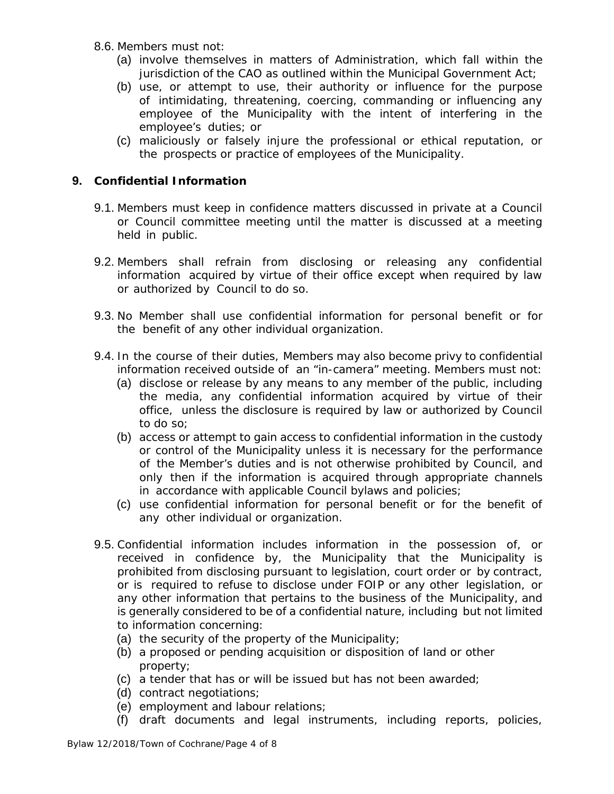- 8.6. Members must not:
	- (a) involve themselves in matters of Administration, which fall within the jurisdiction of the CAO as outlined within the *Municipal Government Act;*
	- (b) use, or attempt to use, their authority or influence for the purpose of intimidating, threatening, coercing, commanding or influencing any employee of the Municipality with the intent of interfering in the employee's duties; or
	- (c) maliciously or falsely injure the professional or ethical reputation, or the prospects or practice of employees of the Municipality.

### **9. Confidential Information**

- 9.1. Members must keep in confidence matters discussed in private at a Council or Council committee meeting until the matter is discussed at a meeting held in public.
- 9.2. Members shall refrain from disclosing or releasing any confidential information acquired by virtue of their office except when required by law or authorized by Council to do so.
- 9.3. No Member shall use confidential information for personal benefit or for the benefit of any other individual organization.
- 9.4. In the course of their duties, Members may also become privy to confidential information received outside of an "in-camera" meeting. Members must not:
	- (a) disclose or release by any means to any member of the public, including the media, any confidential information acquired by virtue of their office, unless the disclosure is required by law or authorized by Council to do so;
	- (b) access or attempt to gain access to confidential information in the custody or control of the Municipality unless it is necessary for the performance of the Member's duties and is not otherwise prohibited by Council, and only then if the information is acquired through appropriate channels in accordance with applicable Council bylaws and policies;
	- (c) use confidential information for personal benefit or for the benefit of any other individual or organization.
- 9.5. Confidential information includes information in the possession of, or received in confidence by, the Municipality that the Municipality is prohibited from disclosing pursuant to legislation, court order or by contract, or is required to refuse to disclose under FOIP or any other legislation, or any other information that pertains to the business of the Municipality, and is generally considered to be of a confidential nature, including but not limited to information concerning:
	- (a) the security of the property of the Municipality;
	- (b) a proposed or pending acquisition or disposition of land or other property;
	- (c) a tender that has or will be issued but has not been awarded;
	- (d) contract negotiations;
	- (e) employment and labour relations;
	- (f) draft documents and legal instruments, including reports, policies,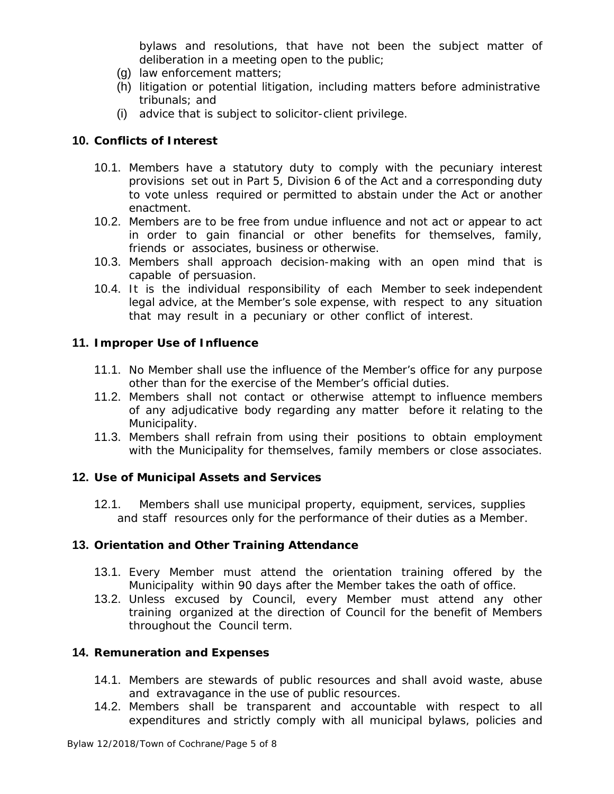bylaws and resolutions, that have not been the subject matter of deliberation in a meeting open to the public;

- (g) law enforcement matters;
- (h) litigation or potential litigation, including matters before administrative tribunals; and
- (i) advice that is subject to solicitor-client privilege.

### **10. Conflicts of Interest**

- 10.1. Members have a statutory duty to comply with the pecuniary interest provisions set out in Part 5, Division 6 of the Act and a corresponding duty to vote unless required or permitted to abstain under the Act or another enactment.
- 10.2. Members are to be free from undue influence and not act or appear to act in order to gain financial or other benefits for themselves, family, friends or associates, business or otherwise.
- 10.3. Members shall approach decision-making with an open mind that is capable of persuasion.
- 10.4. It is the individual responsibility of each Member to seek independent legal advice, at the Member's sole expense, with respect to any situation that may result in a pecuniary or other conflict of interest.

#### **11. Improper Use of Influence**

- 11.1. No Member shall use the influence of the Member's office for any purpose other than for the exercise of the Member's official duties.
- 11.2. Members shall not contact or otherwise attempt to influence members of any adjudicative body regarding any matter before it relating to the Municipality.
- 11.3. Members shall refrain from using their positions to obtain employment with the Municipality for themselves, family members or close associates.

#### **12. Use of Municipal Assets and Services**

12.1. Members shall use municipal property, equipment, services, supplies and staff resources only for the performance of their duties as a Member.

#### **13. Orientation and Other Training Attendance**

- 13.1. Every Member must attend the orientation training offered by the Municipality within 90 days after the Member takes the oath of office.
- 13.2. Unless excused by Council, every Member must attend any other training organized at the direction of Council for the benefit of Members throughout the Council term.

#### **14. Remuneration and Expenses**

- 14.1. Members are stewards of public resources and shall avoid waste, abuse and extravagance in the use of public resources.
- 14.2. Members shall be transparent and accountable with respect to all expenditures and strictly comply with all municipal bylaws, policies and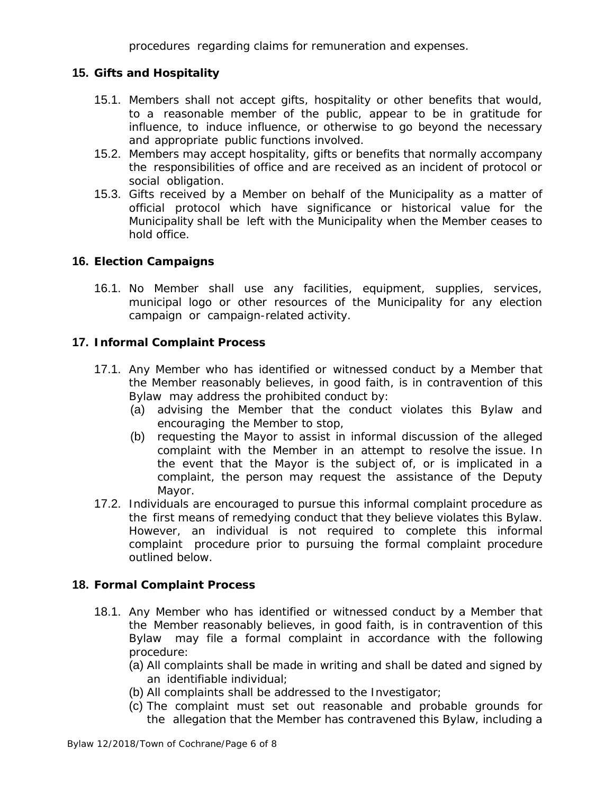procedures regarding claims for remuneration and expenses.

### **15. Gifts and Hospitality**

- 15.1. Members shall not accept gifts, hospitality or other benefits that would, to a reasonable member of the public, appear to be in gratitude for influence, to induce influence, or otherwise to go beyond the necessary and appropriate public functions involved.
- 15.2. Members may accept hospitality, gifts or benefits that normally accompany the responsibilities of office and are received as an incident of protocol or social obligation.
- 15.3. Gifts received by a Member on behalf of the Municipality as a matter of official protocol which have significance or historical value for the Municipality shall be left with the Municipality when the Member ceases to hold office.

### **16. Election Campaigns**

16.1. No Member shall use any facilities, equipment, supplies, services, municipal logo or other resources of the Municipality for any election campaign or campaign-related activity.

### **17. Informal Complaint Process**

- 17.1. Any Member who has identified or witnessed conduct by a Member that the Member reasonably believes, in good faith, is in contravention of this Bylaw may address the prohibited conduct by:
	- (a) advising the Member that the conduct violates this Bylaw and encouraging the Member to stop,
	- (b) requesting the Mayor to assist in informal discussion of the alleged complaint with the Member in an attempt to resolve the issue. In the event that the Mayor is the subject of, or is implicated in a complaint, the person may request the assistance of the Deputy Mayor.
- 17.2. Individuals are encouraged to pursue this informal complaint procedure as the first means of remedying conduct that they believe violates this Bylaw. However, an individual is not required to complete this informal complaint procedure prior to pursuing the formal complaint procedure outlined below.

# **18. Formal Complaint Process**

- 18.1. Any Member who has identified or witnessed conduct by a Member that the Member reasonably believes, in good faith, is in contravention of this Bylaw may file a formal complaint in accordance with the following procedure:
	- (a) All complaints shall be made in writing and shall be dated and signed by an identifiable individual;
	- (b) All complaints shall be addressed to the Investigator;
	- (c) The complaint must set out reasonable and probable grounds for the allegation that the Member has contravened this Bylaw, including a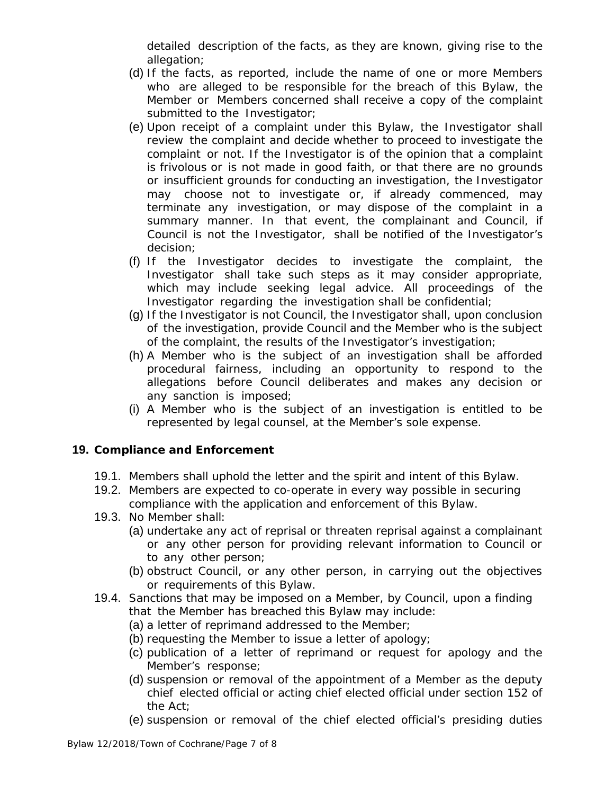detailed description of the facts, as they are known, giving rise to the allegation;

- (d) If the facts, as reported, include the name of one or more Members who are alleged to be responsible for the breach of this Bylaw, the Member or Members concerned shall receive a copy of the complaint submitted to the Investigator;
- (e) Upon receipt of a complaint under this Bylaw, the Investigator shall review the complaint and decide whether to proceed to investigate the complaint or not. If the Investigator is of the opinion that a complaint is frivolous or is not made in good faith, or that there are no grounds or insufficient grounds for conducting an investigation, the Investigator may choose not to investigate or, if already commenced, may terminate any investigation, or may dispose of the complaint in a summary manner. In that event, the complainant and Council, if Council is not the Investigator, shall be notified of the Investigator's decision;
- (f) If the Investigator decides to investigate the complaint, the Investigator shall take such steps as it may consider appropriate, which may include seeking legal advice. All proceedings of the Investigator regarding the investigation shall be confidential;
- (g) If the Investigator is not Council, the Investigator shall, upon conclusion of the investigation, provide Council and the Member who is the subject of the complaint, the results of the Investigator's investigation;
- (h) A Member who is the subject of an investigation shall be afforded procedural fairness, including an opportunity to respond to the allegations before Council deliberates and makes any decision or any sanction is imposed;
- (i) A Member who is the subject of an investigation is entitled to be represented by legal counsel, at the Member's sole expense.

### **19. Compliance and Enforcement**

- 19.1. Members shall uphold the letter and the spirit and intent of this Bylaw.
- 19.2. Members are expected to co-operate in every way possible in securing compliance with the application and enforcement of this Bylaw.
- 19.3. No Member shall:
	- (a) undertake any act of reprisal or threaten reprisal against a complainant or any other person for providing relevant information to Council or to any other person;
	- (b) obstruct Council, or any other person, in carrying out the objectives or requirements of this Bylaw.
- 19.4. Sanctions that may be imposed on a Member, by Council, upon a finding that the Member has breached this Bylaw may include:
	- (a) a letter of reprimand addressed to the Member;
	- (b) requesting the Member to issue a letter of apology;
	- (c) publication of a letter of reprimand or request for apology and the Member's response;
	- (d) suspension or removal of the appointment of a Member as the deputy chief elected official or acting chief elected official under section 152 of the Act;
	- (e) suspension or removal of the chief elected official's presiding duties